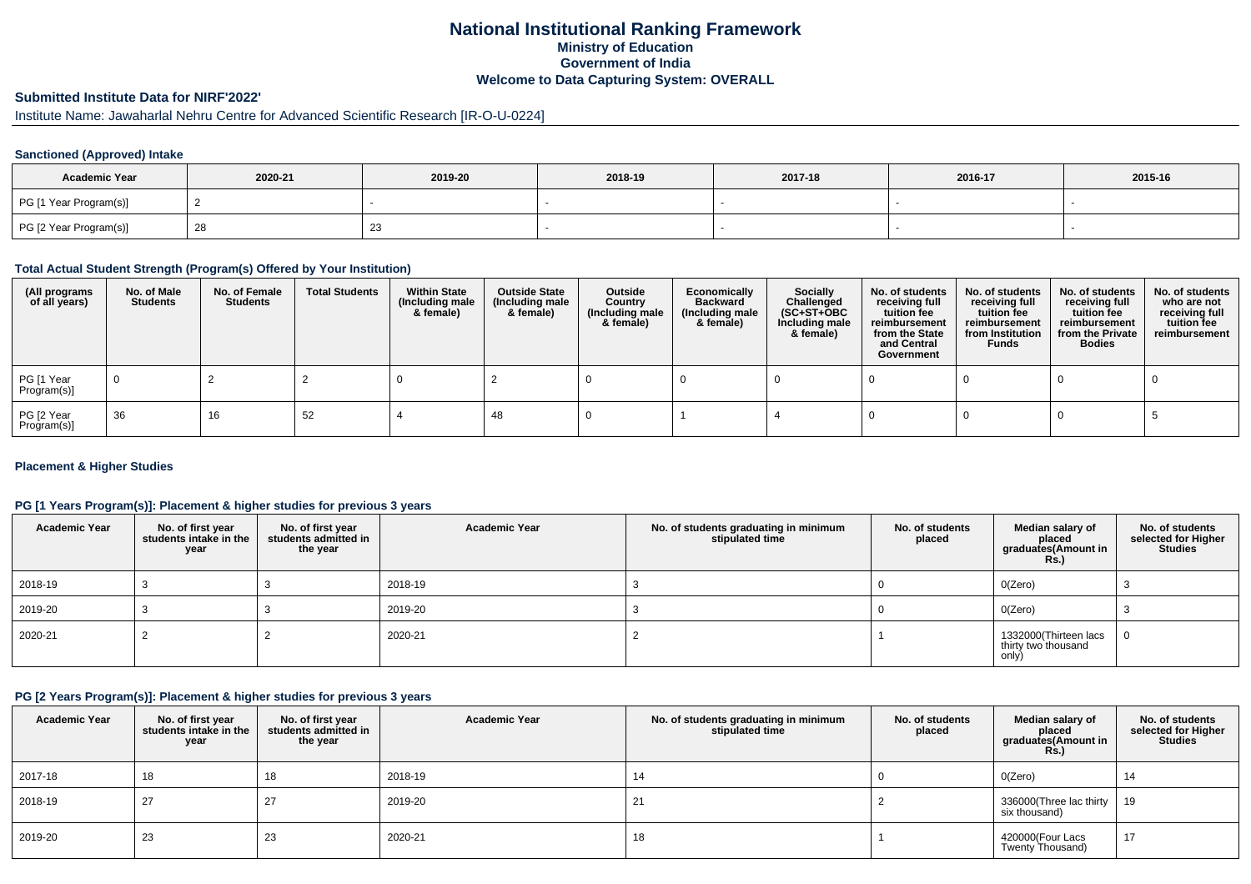# **National Institutional Ranking FrameworkMinistry of Education Government of IndiaWelcome to Data Capturing System: OVERALL**

# **Submitted Institute Data for NIRF'2022'**

# Institute Name: Jawaharlal Nehru Centre for Advanced Scientific Research [IR-O-U-0224]

### **Sanctioned (Approved) Intake**

| <b>Academic Year</b>   | 2020-21 | 2019-20 | 2018-19 | 2017-18 | 2016-17 | 2015-16 |
|------------------------|---------|---------|---------|---------|---------|---------|
| PG [1 Year Program(s)] |         |         |         |         |         |         |
| PG [2 Year Program(s)] |         | 23      |         |         |         |         |

#### **Total Actual Student Strength (Program(s) Offered by Your Institution)**

| (All programs<br>of all years) | No. of Male<br><b>Students</b> | No. of Female<br>Students | <b>Total Students</b> | <b>Within State</b><br>(Including male<br>& female) | <b>Outside State</b><br>(Including male<br>& female) | Outside<br>Country<br>(Including male<br>& female) | Economically<br>Backward<br>(Including male<br>& female) | Socially<br>Challenged<br>$(SC+ST+OBC)$<br>Including male<br>& female) | No. of students<br>receiving full<br>tuition fee<br>reimbursement<br>from the State<br>and Central<br>Government | No. of students<br>receiving full<br>tuition fee<br>reimbursement<br>from Institution<br><b>Funds</b> | No. of students<br>receiving full<br>tuition fee<br>reimbursement<br>from the Private<br><b>Bodies</b> | No. of students<br>who are not<br>receiving full<br>tuition fee<br>reimbursement |
|--------------------------------|--------------------------------|---------------------------|-----------------------|-----------------------------------------------------|------------------------------------------------------|----------------------------------------------------|----------------------------------------------------------|------------------------------------------------------------------------|------------------------------------------------------------------------------------------------------------------|-------------------------------------------------------------------------------------------------------|--------------------------------------------------------------------------------------------------------|----------------------------------------------------------------------------------|
| PG [1 Year<br>Program(s)]      |                                |                           |                       |                                                     |                                                      |                                                    |                                                          |                                                                        |                                                                                                                  |                                                                                                       |                                                                                                        |                                                                                  |
| PG [2 Year<br>Program(s)]      | 36                             | 16                        | 52                    |                                                     | -48                                                  |                                                    |                                                          |                                                                        |                                                                                                                  |                                                                                                       |                                                                                                        |                                                                                  |

### **Placement & Higher Studies**

### **PG [1 Years Program(s)]: Placement & higher studies for previous 3 years**

| <b>Academic Year</b> | No. of first year<br>students intake in the<br>year | No. of first year<br>students admitted in<br>the year | <b>Academic Year</b> | No. of students graduating in minimum<br>stipulated time | No. of students<br>placed | Median salary of<br>placed<br>graduates(Amount in<br><b>Rs.)</b> | No. of students<br>selected for Higher<br><b>Studies</b> |
|----------------------|-----------------------------------------------------|-------------------------------------------------------|----------------------|----------------------------------------------------------|---------------------------|------------------------------------------------------------------|----------------------------------------------------------|
| 2018-19              |                                                     |                                                       | 2018-19              |                                                          |                           | O(Zero)                                                          |                                                          |
| 2019-20              |                                                     |                                                       | 2019-20              |                                                          |                           | O(Zero)                                                          |                                                          |
| 2020-21              |                                                     |                                                       | 2020-21              |                                                          |                           | 1332000(Thirteen lacs<br>thirty two thousand<br>only)            | $\Omega$                                                 |

## **PG [2 Years Program(s)]: Placement & higher studies for previous 3 years**

| <b>Academic Year</b> | No. of first year<br>students intake in the I<br>year | No. of first year<br>students admitted in<br>the year | <b>Academic Year</b> | No. of students graduating in minimum<br>stipulated time | No. of students<br>placed | Median salary of<br>placed<br>graduates(Amount in<br><b>Rs.)</b> | No. of students<br>selected for Higher<br>Studies |
|----------------------|-------------------------------------------------------|-------------------------------------------------------|----------------------|----------------------------------------------------------|---------------------------|------------------------------------------------------------------|---------------------------------------------------|
| 2017-18              | 18                                                    |                                                       | 2018-19              | 14                                                       |                           | O(Zero)                                                          | 14                                                |
| 2018-19              | 27                                                    | 27                                                    | 2019-20              | 21                                                       |                           | 336000(Three lac thirty<br>six thousand)                         | 19                                                |
| 2019-20              | 23                                                    | 23                                                    | 2020-21              | 18                                                       |                           | 420000(Four Lacs<br>Twenty Thousand)                             | 17                                                |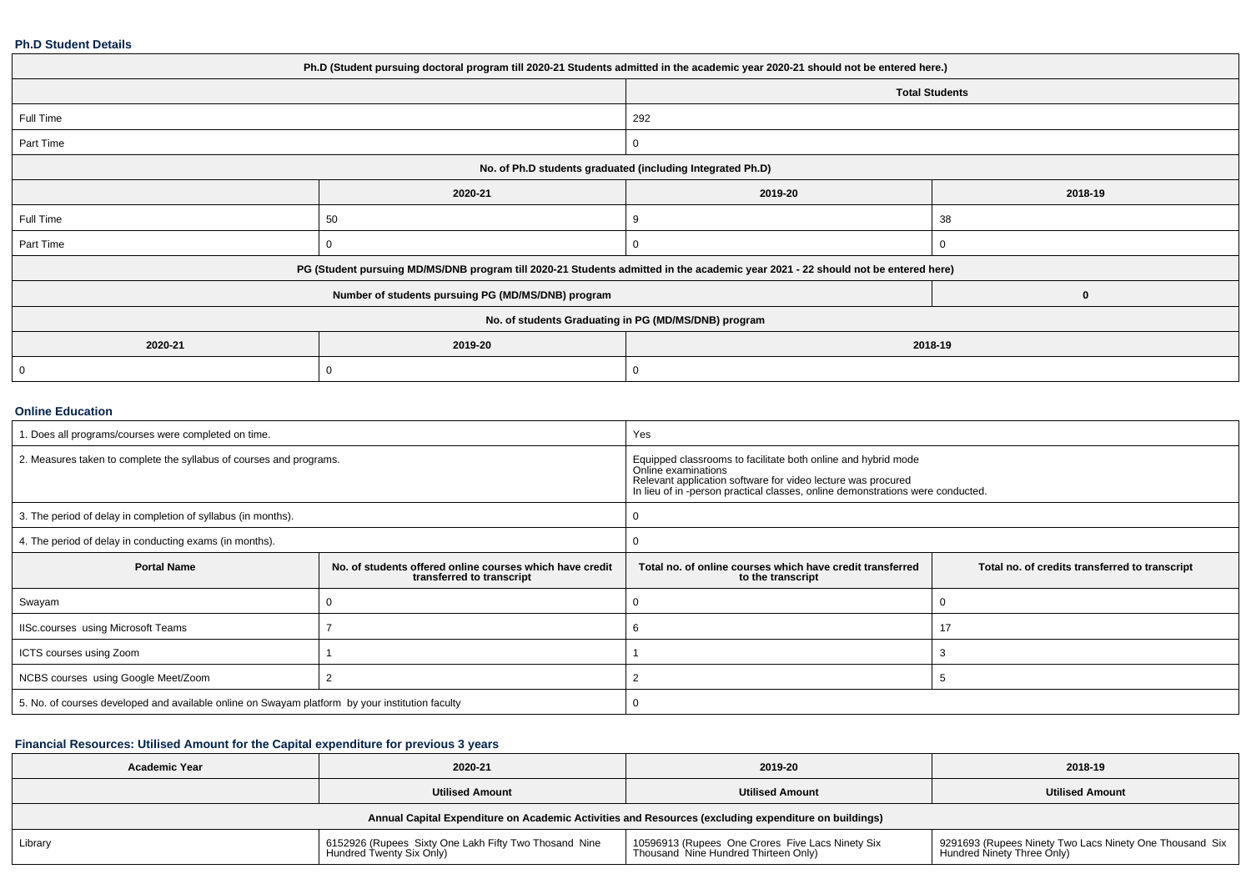#### **Ph.D Student Details**

| Ph.D (Student pursuing doctoral program till 2020-21 Students admitted in the academic year 2020-21 should not be entered here.) |         |                                                                                                                                  |         |  |  |
|----------------------------------------------------------------------------------------------------------------------------------|---------|----------------------------------------------------------------------------------------------------------------------------------|---------|--|--|
|                                                                                                                                  |         | <b>Total Students</b>                                                                                                            |         |  |  |
| Full Time                                                                                                                        |         | 292                                                                                                                              |         |  |  |
| Part Time                                                                                                                        |         | 0                                                                                                                                |         |  |  |
| No. of Ph.D students graduated (including Integrated Ph.D)                                                                       |         |                                                                                                                                  |         |  |  |
|                                                                                                                                  | 2020-21 | 2019-20                                                                                                                          | 2018-19 |  |  |
| Full Time                                                                                                                        | 50      | 9                                                                                                                                | 38      |  |  |
| Part Time                                                                                                                        |         |                                                                                                                                  |         |  |  |
|                                                                                                                                  |         | PG (Student pursuing MD/MS/DNB program till 2020-21 Students admitted in the academic year 2021 - 22 should not be entered here) |         |  |  |
|                                                                                                                                  | 0       |                                                                                                                                  |         |  |  |
| No. of students Graduating in PG (MD/MS/DNB) program                                                                             |         |                                                                                                                                  |         |  |  |
| 2020-21                                                                                                                          | 2019-20 | 2018-19                                                                                                                          |         |  |  |
| $\mathbf 0$                                                                                                                      |         | 0                                                                                                                                |         |  |  |

#### **Online Education**

| 1. Does all programs/courses were completed on time.                                            |                                                                                       | Yes                                                                                                                                                                                                                                    |                                                |  |
|-------------------------------------------------------------------------------------------------|---------------------------------------------------------------------------------------|----------------------------------------------------------------------------------------------------------------------------------------------------------------------------------------------------------------------------------------|------------------------------------------------|--|
| 2. Measures taken to complete the syllabus of courses and programs.                             |                                                                                       | Equipped classrooms to facilitate both online and hybrid mode<br>Online examinations<br>Relevant application software for video lecture was procured<br>In lieu of in -person practical classes, online demonstrations were conducted. |                                                |  |
| 3. The period of delay in completion of syllabus (in months).                                   |                                                                                       |                                                                                                                                                                                                                                        |                                                |  |
| 4. The period of delay in conducting exams (in months).                                         |                                                                                       |                                                                                                                                                                                                                                        |                                                |  |
| <b>Portal Name</b>                                                                              | No. of students offered online courses which have credit<br>transferred to transcript | Total no, of online courses which have credit transferred<br>to the transcript                                                                                                                                                         | Total no. of credits transferred to transcript |  |
| Swayam                                                                                          |                                                                                       |                                                                                                                                                                                                                                        |                                                |  |
| IISc.courses using Microsoft Teams                                                              |                                                                                       | b                                                                                                                                                                                                                                      |                                                |  |
| ICTS courses using Zoom                                                                         |                                                                                       |                                                                                                                                                                                                                                        |                                                |  |
| NCBS courses using Google Meet/Zoom                                                             |                                                                                       |                                                                                                                                                                                                                                        |                                                |  |
| 5. No. of courses developed and available online on Swayam platform by your institution faculty |                                                                                       |                                                                                                                                                                                                                                        |                                                |  |

### **Financial Resources: Utilised Amount for the Capital expenditure for previous 3 years**

| <b>Academic Year</b>                                                                                 | 2020-21<br>2019-20                                                                |                                                                                          | 2018-19                                                                               |  |  |  |
|------------------------------------------------------------------------------------------------------|-----------------------------------------------------------------------------------|------------------------------------------------------------------------------------------|---------------------------------------------------------------------------------------|--|--|--|
|                                                                                                      | <b>Utilised Amount</b>                                                            | <b>Utilised Amount</b>                                                                   | <b>Utilised Amount</b>                                                                |  |  |  |
| Annual Capital Expenditure on Academic Activities and Resources (excluding expenditure on buildings) |                                                                                   |                                                                                          |                                                                                       |  |  |  |
| Library                                                                                              | 6152926 (Rupees Sixty One Lakh Fifty Two Thosand Nine<br>Hundred Twenty Six Only) | 10596913 (Rupees One Crores Five Lacs Ninety Six<br>Thousand Nine Hundred Thirteen Only) | 9291693 (Rupees Ninety Two Lacs Ninety One Thousand Six<br>Hundred Ninety Three Only) |  |  |  |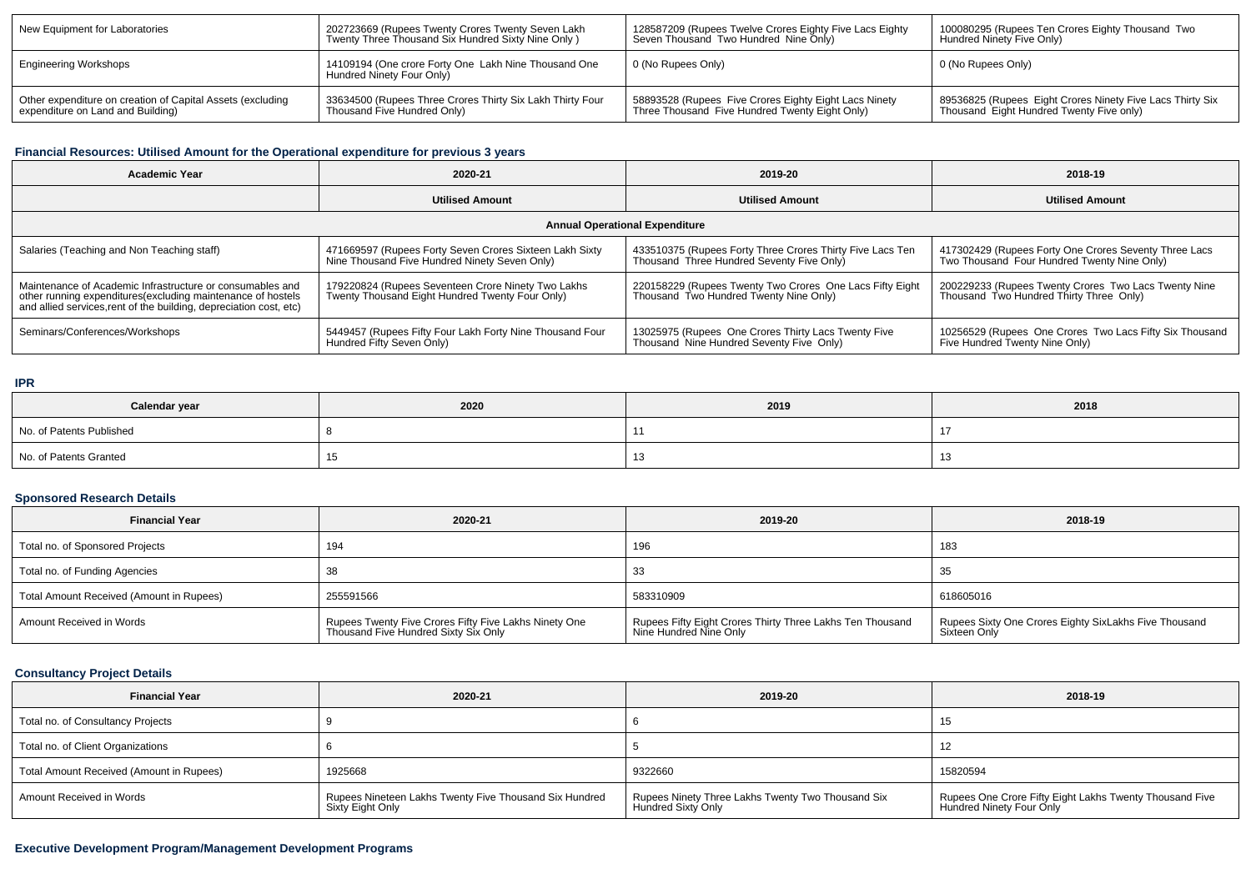| New Equipment for Laboratories                                                                  | 202723669 (Rupees Twenty Crores Twenty Seven Lakh<br>Twenty Three Thousand Six Hundred Sixty Nine Only) | 128587209 (Rupees Twelve Crores Eighty Five Lacs Eighty<br>Seven Thousand Two Hundred Nine Only)        | 100080295 (Rupees Ten Crores Eighty Thousand Two<br>Hundred Ninety Five Only)                         |
|-------------------------------------------------------------------------------------------------|---------------------------------------------------------------------------------------------------------|---------------------------------------------------------------------------------------------------------|-------------------------------------------------------------------------------------------------------|
| Engineering Workshops                                                                           | 14109194 (One crore Forty One Lakh Nine Thousand One<br>Hundred Ninety Four Only)                       | 0 (No Rupees Only)                                                                                      | 0 (No Rupees Only)                                                                                    |
| Other expenditure on creation of Capital Assets (excluding<br>expenditure on Land and Building) | 33634500 (Rupees Three Crores Thirty Six Lakh Thirty Four<br>Thousand Five Hundred Only)                | 58893528 (Rupees Five Crores Eighty Eight Lacs Ninety<br>Three Thousand Five Hundred Twenty Eight Only) | 89536825 (Rupees Eight Crores Ninety Five Lacs Thirty Six<br>Thousand Eight Hundred Twenty Five only) |

# **Financial Resources: Utilised Amount for the Operational expenditure for previous 3 years**

| <b>Academic Year</b>                                                                                                                                                                            | 2020-21                                                                                                  | 2019-20                                                                                                | 2018-19                                                                                              |  |  |  |  |
|-------------------------------------------------------------------------------------------------------------------------------------------------------------------------------------------------|----------------------------------------------------------------------------------------------------------|--------------------------------------------------------------------------------------------------------|------------------------------------------------------------------------------------------------------|--|--|--|--|
|                                                                                                                                                                                                 | <b>Utilised Amount</b>                                                                                   | <b>Utilised Amount</b>                                                                                 | <b>Utilised Amount</b>                                                                               |  |  |  |  |
| <b>Annual Operational Expenditure</b>                                                                                                                                                           |                                                                                                          |                                                                                                        |                                                                                                      |  |  |  |  |
| Salaries (Teaching and Non Teaching staff)                                                                                                                                                      | 471669597 (Rupees Forty Seven Crores Sixteen Lakh Sixty<br>Nine Thousand Five Hundred Ninety Seven Only) | 433510375 (Rupees Forty Three Crores Thirty Five Lacs Ten<br>Thousand Three Hundred Seventy Five Only) | 417302429 (Rupees Forty One Crores Seventy Three Lacs<br>Two Thousand Four Hundred Twenty Nine Only) |  |  |  |  |
| Maintenance of Academic Infrastructure or consumables and<br>other running expenditures (excluding maintenance of hostels<br>and allied services, rent of the building, depreciation cost, etc) | 179220824 (Rupees Seventeen Crore Ninety Two Lakhs<br>Twenty Thousand Eight Hundred Twenty Four Only)    | 220158229 (Rupees Twenty Two Crores One Lacs Fifty Eight<br>Thousand Two Hundred Twenty Nine Only)     | 200229233 (Rupees Twenty Crores Two Lacs Twenty Nine<br>Thousand Two Hundred Thirty Three Only)      |  |  |  |  |
| Seminars/Conferences/Workshops                                                                                                                                                                  | <sup>1</sup> 5449457 (Rupees Fifty Four Lakh Forty Nine Thousand Four<br>Hundred Fifty Seven Only)       | 13025975 (Rupees One Crores Thirty Lacs Twenty Five<br>Thousand Nine Hundred Seventy Five Only)        | 10256529 (Rupees One Crores Two Lacs Fifty Six Thousand<br>Five Hundred Twenty Nine Only)            |  |  |  |  |

### **IPR**

| Calendar year            | 2020 | 2019 | 2018 |
|--------------------------|------|------|------|
| No. of Patents Published |      |      |      |
| No. of Patents Granted   | ျပ   | ن ا  |      |

# **Sponsored Research Details**

| <b>Financial Year</b>                    | 2020-21                                                                                       | 2019-20                                                                               | 2018-19                                                               |
|------------------------------------------|-----------------------------------------------------------------------------------------------|---------------------------------------------------------------------------------------|-----------------------------------------------------------------------|
| Total no. of Sponsored Projects          | 194                                                                                           | 196                                                                                   | 183                                                                   |
| Total no. of Funding Agencies            |                                                                                               | 33                                                                                    | 35                                                                    |
| Total Amount Received (Amount in Rupees) | 255591566                                                                                     | 583310909                                                                             | 618605016                                                             |
| Amount Received in Words                 | Rupees Twenty Five Crores Fifty Five Lakhs Ninety One<br>Thousand Five Hundred Sixty Six Only | Rupees Fifty Eight Crores Thirty Three Lakhs Ten Thousand<br>  Nine Hundred Nine Only | Rupees Sixty One Crores Eighty SixLakhs Five Thousand<br>Sixteen Only |

# **Consultancy Project Details**

| <b>Financial Year</b>                    | 2020-21                                                                    | 2019-20                                                                   | 2018-19                                                                             |
|------------------------------------------|----------------------------------------------------------------------------|---------------------------------------------------------------------------|-------------------------------------------------------------------------------------|
| Total no. of Consultancy Projects        |                                                                            |                                                                           | 15                                                                                  |
| Total no. of Client Organizations        |                                                                            |                                                                           |                                                                                     |
| Total Amount Received (Amount in Rupees) | 1925668                                                                    | 9322660                                                                   | 15820594                                                                            |
| Amount Received in Words                 | Rupees Nineteen Lakhs Twenty Five Thousand Six Hundred<br>Sixty Eight Only | Rupees Ninety Three Lakhs Twenty Two Thousand Six<br>  Hundred Sixty Only | Rupees One Crore Fifty Eight Lakhs Twenty Thousand Five<br>Hundred Ninety Four Only |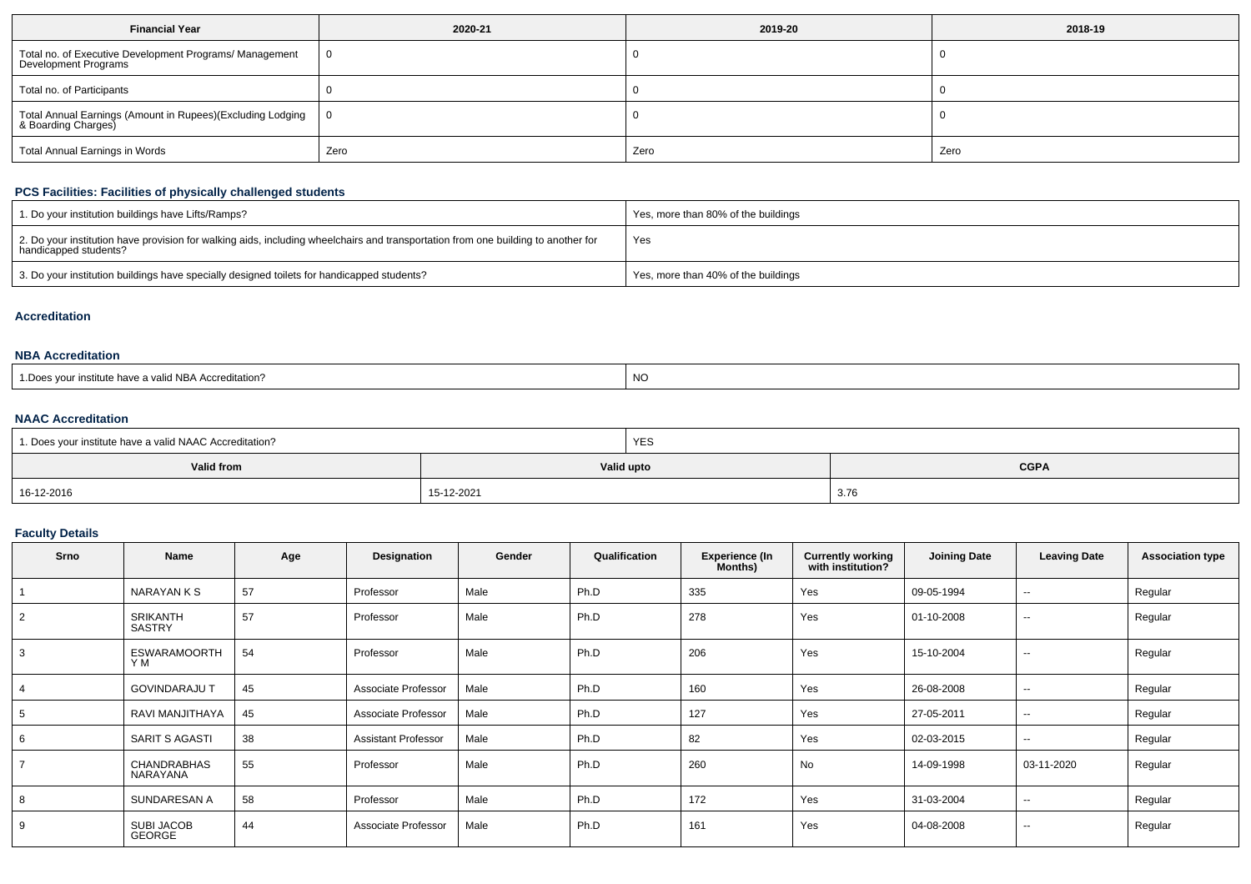| <b>Financial Year</b>                                                             | 2020-21 | 2019-20 | 2018-19 |
|-----------------------------------------------------------------------------------|---------|---------|---------|
| Total no. of Executive Development Programs/ Management<br>Development Programs   | 0       |         |         |
| Total no. of Participants                                                         |         |         |         |
| Total Annual Earnings (Amount in Rupees)(Excluding Lodging<br>& Boarding Charges) | 0       |         |         |
| Total Annual Earnings in Words                                                    | Zero    | Zero    | Zero    |

## **PCS Facilities: Facilities of physically challenged students**

| 1. Do your institution buildings have Lifts/Ramps?                                                                                                         | Yes, more than 80% of the buildings |
|------------------------------------------------------------------------------------------------------------------------------------------------------------|-------------------------------------|
| 2. Do your institution have provision for walking aids, including wheelchairs and transportation from one building to another for<br>handicapped students? | Yes                                 |
| 3. Do your institution buildings have specially designed toilets for handicapped students?                                                                 | Yes, more than 40% of the buildings |

#### **Accreditation**

# **NBA Accreditation**

| 1. Does vour institute have a valid NBA Accreditation?<br>NC |  |
|--------------------------------------------------------------|--|
|--------------------------------------------------------------|--|

# **NAAC Accreditation**

| 1. Does your institute have a valid NAAC Accreditation? | YES        |             |
|---------------------------------------------------------|------------|-------------|
| <b>Valid from</b>                                       | Valid upto | <b>CGPA</b> |
| 16-12-2016                                              | 15-12-2021 | 3.76        |

### **Faculty Details**

| <b>Srno</b> | <b>Name</b>                    | Age | Designation                | Gender | Qualification | <b>Experience (In</b><br>Months) | <b>Currently working</b><br>with institution? | <b>Joining Date</b> | <b>Leaving Date</b>      | <b>Association type</b> |
|-------------|--------------------------------|-----|----------------------------|--------|---------------|----------------------------------|-----------------------------------------------|---------------------|--------------------------|-------------------------|
|             | NARAYAN K S                    | 57  | Professor                  | Male   | Ph.D          | 335                              | Yes                                           | 09-05-1994          | $\sim$                   | Regular                 |
| 2           | <b>SRIKANTH</b><br>SASTRY      | 57  | Professor                  | Male   | Ph.D          | 278                              | Yes                                           | 01-10-2008          | $\overline{\phantom{a}}$ | Regular                 |
| 3           | <b>ESWARAMOORTH</b><br>Y M     | 54  | Professor                  | Male   | Ph.D          | 206                              | Yes                                           | 15-10-2004          | $\sim$                   | Regular                 |
|             | <b>GOVINDARAJU T</b>           | 45  | Associate Professor        | Male   | Ph.D          | 160                              | Yes                                           | 26-08-2008          | $\sim$                   | Regular                 |
|             | RAVI MANJITHAYA                | 45  | Associate Professor        | Male   | Ph.D          | 127                              | Yes                                           | 27-05-2011          | $\overline{\phantom{a}}$ | Regular                 |
| 6           | SARIT S AGASTI                 | 38  | <b>Assistant Professor</b> | Male   | Ph.D          | 82                               | Yes                                           | 02-03-2015          | $\sim$                   | Regular                 |
|             | <b>CHANDRABHAS</b><br>NARAYANA | 55  | Professor                  | Male   | Ph.D          | 260                              | No                                            | 14-09-1998          | 03-11-2020               | Regular                 |
|             | SUNDARESAN A                   | 58  | Professor                  | Male   | Ph.D          | 172                              | Yes                                           | 31-03-2004          | $\overline{\phantom{a}}$ | Regular                 |
| 9           | SUBI JACOB<br><b>GEORGE</b>    | 44  | Associate Professor        | Male   | Ph.D          | 161                              | Yes                                           | 04-08-2008          | $\sim$                   | Regular                 |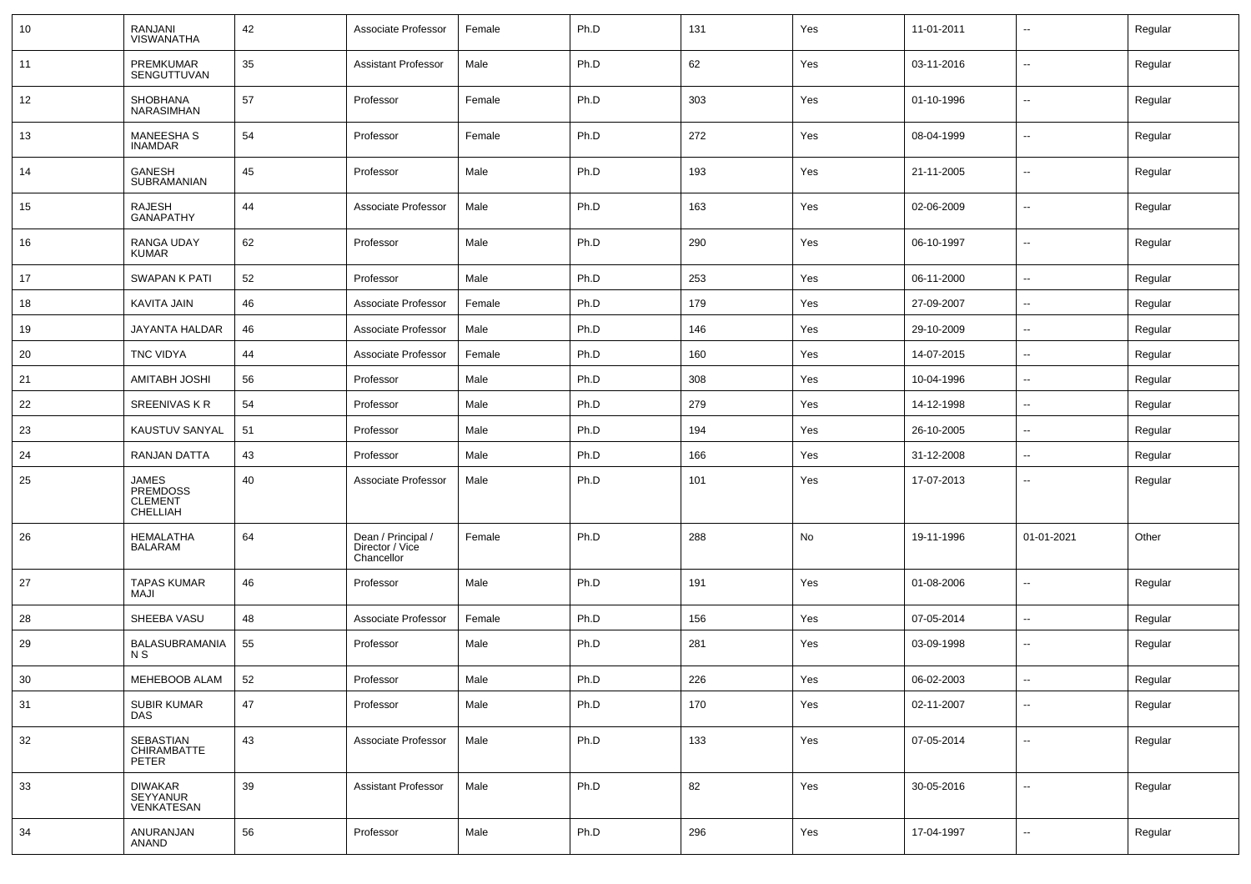| 10 | RANJANI<br><b>VISWANATHA</b>                    | 42 | Associate Professor                                 | Female | Ph.D | 131 | Yes | 11-01-2011 | ⊷.                       | Regular |
|----|-------------------------------------------------|----|-----------------------------------------------------|--------|------|-----|-----|------------|--------------------------|---------|
| 11 | PREMKUMAR<br>SENGUTTUVAN                        | 35 | <b>Assistant Professor</b>                          | Male   | Ph.D | 62  | Yes | 03-11-2016 | $\sim$                   | Regular |
| 12 | SHOBHANA<br><b>NARASIMHAN</b>                   | 57 | Professor                                           | Female | Ph.D | 303 | Yes | 01-10-1996 | $\sim$                   | Regular |
| 13 | <b>MANEESHA S</b><br><b>INAMDAR</b>             | 54 | Professor                                           | Female | Ph.D | 272 | Yes | 08-04-1999 | $\sim$                   | Regular |
| 14 | GANESH<br>SUBRAMANIAN                           | 45 | Professor                                           | Male   | Ph.D | 193 | Yes | 21-11-2005 | $\sim$                   | Regular |
| 15 | <b>RAJESH</b><br><b>GANAPATHY</b>               | 44 | Associate Professor                                 | Male   | Ph.D | 163 | Yes | 02-06-2009 | $\sim$                   | Regular |
| 16 | RANGA UDAY<br><b>KUMAR</b>                      | 62 | Professor                                           | Male   | Ph.D | 290 | Yes | 06-10-1997 | $\sim$                   | Regular |
| 17 | SWAPAN K PATI                                   | 52 | Professor                                           | Male   | Ph.D | 253 | Yes | 06-11-2000 | $\sim$                   | Regular |
| 18 | KAVITA JAIN                                     | 46 | Associate Professor                                 | Female | Ph.D | 179 | Yes | 27-09-2007 | $\overline{\phantom{a}}$ | Regular |
| 19 | JAYANTA HALDAR                                  | 46 | Associate Professor                                 | Male   | Ph.D | 146 | Yes | 29-10-2009 | --                       | Regular |
| 20 | <b>TNC VIDYA</b>                                | 44 | Associate Professor                                 | Female | Ph.D | 160 | Yes | 14-07-2015 | $\overline{\phantom{a}}$ | Regular |
| 21 | <b>AMITABH JOSHI</b>                            | 56 | Professor                                           | Male   | Ph.D | 308 | Yes | 10-04-1996 | $\overline{a}$           | Regular |
| 22 | <b>SREENIVAS K R</b>                            | 54 | Professor                                           | Male   | Ph.D | 279 | Yes | 14-12-1998 | $\sim$                   | Regular |
| 23 | KAUSTUV SANYAL                                  | 51 | Professor                                           | Male   | Ph.D | 194 | Yes | 26-10-2005 | $\sim$                   | Regular |
| 24 | RANJAN DATTA                                    | 43 | Professor                                           | Male   | Ph.D | 166 | Yes | 31-12-2008 | --                       | Regular |
| 25 | JAMES<br>PREMDOSS<br><b>CLEMENT</b><br>CHELLIAH | 40 | Associate Professor                                 | Male   | Ph.D | 101 | Yes | 17-07-2013 | --                       | Regular |
| 26 | HEMALATHA<br>BALARAM                            | 64 | Dean / Principal /<br>Director / Vice<br>Chancellor | Female | Ph.D | 288 | No  | 19-11-1996 | 01-01-2021               | Other   |
| 27 | <b>TAPAS KUMAR</b><br>MAJI                      | 46 | Professor                                           | Male   | Ph.D | 191 | Yes | 01-08-2006 | $\overline{\phantom{a}}$ | Regular |
| 28 | SHEEBA VASU                                     | 48 | Associate Professor                                 | Female | Ph.D | 156 | Yes | 07-05-2014 | Ш,                       | Regular |
| 29 | BALASUBRAMANIA<br>N S                           | 55 | Professor                                           | Male   | Ph.D | 281 | Yes | 03-09-1998 | $\sim$                   | Regular |
| 30 | MEHEBOOB ALAM                                   | 52 | Professor                                           | Male   | Ph.D | 226 | Yes | 06-02-2003 | $\sim$                   | Regular |
| 31 | <b>SUBIR KUMAR</b><br><b>DAS</b>                | 47 | Professor                                           | Male   | Ph.D | 170 | Yes | 02-11-2007 | --                       | Regular |
| 32 | SEBASTIAN<br>CHIRAMBATTE<br>PETER               | 43 | Associate Professor                                 | Male   | Ph.D | 133 | Yes | 07-05-2014 | Ξ.                       | Regular |
| 33 | <b>DIWAKAR</b><br>SEYYANUR<br>VENKATESAN        | 39 | <b>Assistant Professor</b>                          | Male   | Ph.D | 82  | Yes | 30-05-2016 | $\sim$                   | Regular |
| 34 | ANURANJAN<br>ANAND                              | 56 | Professor                                           | Male   | Ph.D | 296 | Yes | 17-04-1997 | --                       | Regular |